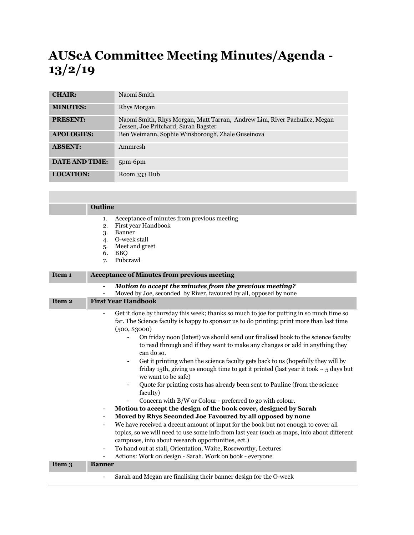## **AUScA Committee Meeting Minutes/Agenda - 13/2/19**

| <b>CHAIR:</b>         | Naomi Smith                                                                                                       |
|-----------------------|-------------------------------------------------------------------------------------------------------------------|
| <b>MINUTES:</b>       | Rhys Morgan                                                                                                       |
| <b>PRESENT:</b>       | Naomi Smith, Rhys Morgan, Matt Tarran, Andrew Lim, River Pachulicz, Megan<br>Jessen, Joe Pritchard, Sarah Bagster |
| <b>APOLOGIES:</b>     | Ben Weimann, Sophie Winsborough, Zhale Guseinova                                                                  |
| <b>ABSENT:</b>        | Ammresh                                                                                                           |
| <b>DATE AND TIME:</b> | 5pm-6pm                                                                                                           |
| <b>LOCATION:</b>      | Room 333 Hub                                                                                                      |

|                   | Outline                                                                                                                                                                                                                                                                                                                                                                                                                                                                                                                                                                                                                                                                                                                                                                                                                                                                                                                                                                                                                                                                                                                                                                                                                                                                                                                                                                                                                                    |
|-------------------|--------------------------------------------------------------------------------------------------------------------------------------------------------------------------------------------------------------------------------------------------------------------------------------------------------------------------------------------------------------------------------------------------------------------------------------------------------------------------------------------------------------------------------------------------------------------------------------------------------------------------------------------------------------------------------------------------------------------------------------------------------------------------------------------------------------------------------------------------------------------------------------------------------------------------------------------------------------------------------------------------------------------------------------------------------------------------------------------------------------------------------------------------------------------------------------------------------------------------------------------------------------------------------------------------------------------------------------------------------------------------------------------------------------------------------------------|
|                   | Acceptance of minutes from previous meeting<br>1.<br>First year Handbook<br>2.<br>Banner<br>3.<br>O-week stall<br>4.<br>Meet and greet<br>5.<br>6.<br><b>BBQ</b><br>Pubcrawl<br>7.                                                                                                                                                                                                                                                                                                                                                                                                                                                                                                                                                                                                                                                                                                                                                                                                                                                                                                                                                                                                                                                                                                                                                                                                                                                         |
| Item <sub>1</sub> | <b>Acceptance of Minutes from previous meeting</b>                                                                                                                                                                                                                                                                                                                                                                                                                                                                                                                                                                                                                                                                                                                                                                                                                                                                                                                                                                                                                                                                                                                                                                                                                                                                                                                                                                                         |
|                   | Motion to accept the minutes from the previous meeting?<br>Moved by Joe, seconded by River, favoured by all, opposed by none                                                                                                                                                                                                                                                                                                                                                                                                                                                                                                                                                                                                                                                                                                                                                                                                                                                                                                                                                                                                                                                                                                                                                                                                                                                                                                               |
| Item <sub>2</sub> | <b>First Year Handbook</b>                                                                                                                                                                                                                                                                                                                                                                                                                                                                                                                                                                                                                                                                                                                                                                                                                                                                                                                                                                                                                                                                                                                                                                                                                                                                                                                                                                                                                 |
|                   | Get it done by thursday this week; thanks so much to joe for putting in so much time so<br>$\overline{\phantom{a}}$<br>far. The Science faculty is happy to sponsor us to do printing; print more than last time<br>(500, \$3000)<br>On friday noon (latest) we should send our finalised book to the science faculty<br>$\overline{\phantom{a}}$<br>to read through and if they want to make any changes or add in anything they<br>can do so.<br>Get it printing when the science faculty gets back to us (hopefully they will by<br>friday 15th, giving us enough time to get it printed (last year it took $\sim$ 5 days but<br>we want to be safe)<br>Quote for printing costs has already been sent to Pauline (from the science<br>faculty)<br>Concern with B/W or Colour - preferred to go with colour.<br>Motion to accept the design of the book cover, designed by Sarah<br>$\overline{\phantom{a}}$<br>Moved by Rhys Seconded Joe Favoured by all opposed by none<br>$\overline{\phantom{a}}$<br>We have received a decent amount of input for the book but not enough to cover all<br>$\overline{\phantom{a}}$<br>topics, so we will need to use some info from last year (such as maps, info about different<br>campuses, info about research opportunities, ect.)<br>To hand out at stall, Orientation, Waite, Roseworthy, Lectures<br>$\overline{\phantom{a}}$<br>Actions: Work on design - Sarah. Work on book - everyone |
| Item 3            | <b>Banner</b>                                                                                                                                                                                                                                                                                                                                                                                                                                                                                                                                                                                                                                                                                                                                                                                                                                                                                                                                                                                                                                                                                                                                                                                                                                                                                                                                                                                                                              |
|                   | Sarah and Megan are finalising their banner design for the O-week<br>$\overline{\phantom{a}}$                                                                                                                                                                                                                                                                                                                                                                                                                                                                                                                                                                                                                                                                                                                                                                                                                                                                                                                                                                                                                                                                                                                                                                                                                                                                                                                                              |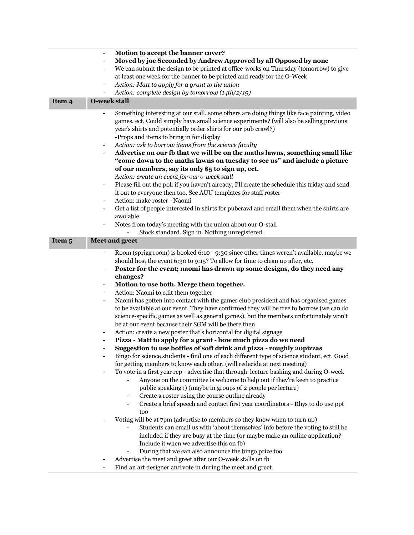| Item 4 | Motion to accept the banner cover?<br>Moved by joe Seconded by Andrew Approved by all Opposed by none<br>$\overline{a}$<br>We can submit the design to be printed at office-works on Thursday (tomorrow) to give<br>at least one week for the banner to be printed and ready for the O-Week<br>Action: Matt to apply for a grant to the union<br>Action: complete design by tomorrow (14th/2/19)<br><b>O-week stall</b>                                                                                                                                                                                                                                                                                                                                                                                                                                                                                                                                                                                                                                                                                                                                                                                                                                                                                                                                                                                                                                                                                                                                                                                                                                          |
|--------|------------------------------------------------------------------------------------------------------------------------------------------------------------------------------------------------------------------------------------------------------------------------------------------------------------------------------------------------------------------------------------------------------------------------------------------------------------------------------------------------------------------------------------------------------------------------------------------------------------------------------------------------------------------------------------------------------------------------------------------------------------------------------------------------------------------------------------------------------------------------------------------------------------------------------------------------------------------------------------------------------------------------------------------------------------------------------------------------------------------------------------------------------------------------------------------------------------------------------------------------------------------------------------------------------------------------------------------------------------------------------------------------------------------------------------------------------------------------------------------------------------------------------------------------------------------------------------------------------------------------------------------------------------------|
|        |                                                                                                                                                                                                                                                                                                                                                                                                                                                                                                                                                                                                                                                                                                                                                                                                                                                                                                                                                                                                                                                                                                                                                                                                                                                                                                                                                                                                                                                                                                                                                                                                                                                                  |
|        | Something interesting at our stall, some others are doing things like face painting, video<br>games, ect. Could simply have small science experiments? (will also be selling previous<br>year's shirts and potentially order shirts for our pub crawl?)<br>-Props and items to bring in for display<br>Action: ask to borrow items from the science faculty<br>Advertise on our fb that we will be on the maths lawns, something small like<br>"come down to the maths lawns on tuesday to see us" and include a picture<br>of our members, say its only \$5 to sign up, ect.<br>Action: create an event for our o-week stall<br>Please fill out the poll if you haven't already, I'll create the schedule this friday and send<br>it out to everyone then too. See AUU templates for staff roster<br>Action: make roster - Naomi<br>Get a list of people interested in shirts for pubcrawl and email them when the shirts are<br>$\overline{\phantom{a}}$<br>available<br>Notes from today's meeting with the union about our O-stall<br>$\qquad \qquad \blacksquare$                                                                                                                                                                                                                                                                                                                                                                                                                                                                                                                                                                                           |
| Item 5 | Stock standard. Sign in. Nothing unregistered.<br><b>Meet and greet</b>                                                                                                                                                                                                                                                                                                                                                                                                                                                                                                                                                                                                                                                                                                                                                                                                                                                                                                                                                                                                                                                                                                                                                                                                                                                                                                                                                                                                                                                                                                                                                                                          |
|        | Room (sprigg room) is booked 6:10 - 9:30 since other times weren't available, maybe we                                                                                                                                                                                                                                                                                                                                                                                                                                                                                                                                                                                                                                                                                                                                                                                                                                                                                                                                                                                                                                                                                                                                                                                                                                                                                                                                                                                                                                                                                                                                                                           |
|        | should host the event 6:30 to 9:15? To allow for time to clean up after, etc.<br>Poster for the event; naomi has drawn up some designs, do they need any<br>changes?<br>Motion to use both. Merge them together.<br>$\qquad \qquad \blacksquare$<br>Action: Naomi to edit them together<br>$\overline{\phantom{a}}$<br>Naomi has gotten into contact with the games club president and has organised games<br>$\qquad \qquad \blacksquare$<br>to be available at our event. They have confirmed they will be free to borrow (we can do<br>science-specific games as well as general games), but the members unfortunately won't<br>be at our event because their SGM will be there then<br>Action: create a new poster that's horizontal for digital signage<br>Pizza - Matt to apply for a grant - how much pizza do we need<br>Suggestion to use bottles of soft drink and pizza - roughly 20pizzas<br>Bingo for science students - find one of each different type of science student, ect. Good<br>for getting members to know each other. (will redecide at next meeting)<br>To vote in a first year rep - advertise that through lecture bashing and during O-week<br>Anyone on the committee is welcome to help out if they're keen to practice<br>public speaking :) (maybe in groups of 2 people per lecture)<br>Create a roster using the course outline already<br>Create a brief speech and contact first year coordinators - Rhys to do use ppt<br>$\overline{\phantom{a}}$<br>too<br>Voting will be at 7pm (advertise to members so they know when to turn up)<br>Students can email us with 'about themselves' info before the voting to still be |
|        | included if they are busy at the time (or maybe make an online application?<br>Include it when we advertise this on fb)<br>During that we can also announce the bingo prize too<br>Advertise the meet and greet after our O-week stalls on fb                                                                                                                                                                                                                                                                                                                                                                                                                                                                                                                                                                                                                                                                                                                                                                                                                                                                                                                                                                                                                                                                                                                                                                                                                                                                                                                                                                                                                    |
|        |                                                                                                                                                                                                                                                                                                                                                                                                                                                                                                                                                                                                                                                                                                                                                                                                                                                                                                                                                                                                                                                                                                                                                                                                                                                                                                                                                                                                                                                                                                                                                                                                                                                                  |